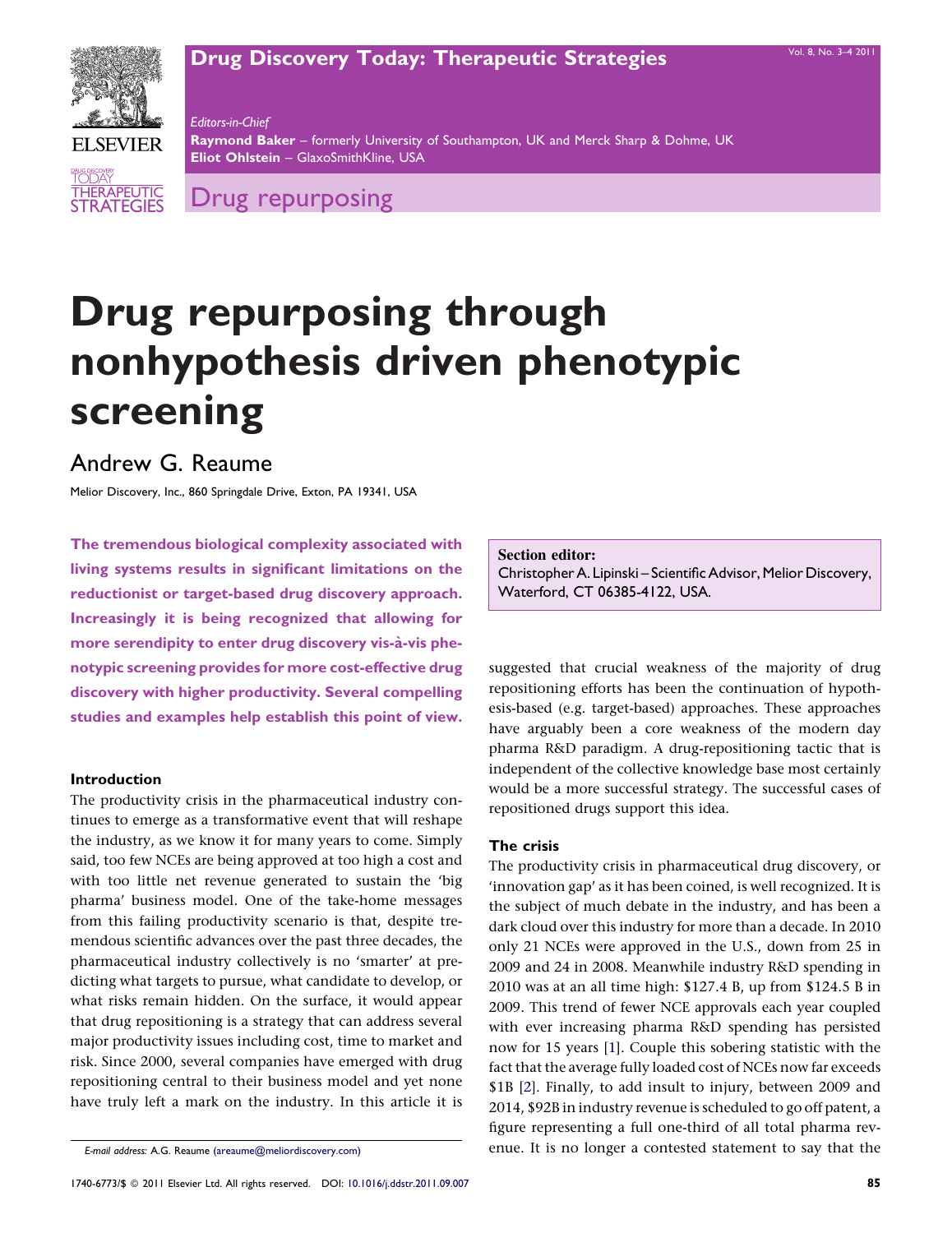# [Drug Discovery Today: Therapeutic Strategies](http://dx.doi.org/10.1016/j.ddstr.2011.09.007) [Vol. 8, No. 3–4 2011](http://dx.doi.org/10.1016/j.ddstr.2011.09.007)



Editors-in-Chief Raymond Baker – formerly University of Southampton, UK and Merck Sharp & Dohme, UK

THERAPEUTIC STRATEGIES DRUG DISCOVERY <u>TODAY</u>

Drug repurposing

Eliot Ohlstein – GlaxoSmithKline, USA

# Drug repurposing through nonhypothesis driven phenotypic screening

# Andrew G. Reaume

Melior Discovery, Inc., 860 Springdale Drive, Exton, PA 19341, USA

The tremendous biological complexity associated with living systems results in significant limitations on the reductionist or target-based drug discovery approach. Increasingly it is being recognized that allowing for more serendipity to enter drug discovery vis-à-vis phenotypic screening provides for more cost-effective drug discovery with higher productivity. Several compelling studies and examples help establish this point of view.

#### Introduction

The productivity crisis in the pharmaceutical industry continues to emerge as a transformative event that will reshape the industry, as we know it for many years to come. Simply said, too few NCEs are being approved at too high a cost and with too little net revenue generated to sustain the 'big pharma' business model. One of the take-home messages from this failing productivity scenario is that, despite tremendous scientific advances over the past three decades, the pharmaceutical industry collectively is no 'smarter' at predicting what targets to pursue, what candidate to develop, or what risks remain hidden. On the surface, it would appear that drug repositioning is a strategy that can address several major productivity issues including cost, time to market and risk. Since 2000, several companies have emerged with drug repositioning central to their business model and yet none have truly left a mark on the industry. In this article it is

Section editor:

Christopher A. Lipinski – Scientific Advisor, Melior Discovery, Waterford, CT 06385-4122, USA.

suggested that crucial weakness of the majority of drug repositioning efforts has been the continuation of hypothesis-based (e.g. target-based) approaches. These approaches have arguably been a core weakness of the modern day pharma R&D paradigm. A drug-repositioning tactic that is independent of the collective knowledge base most certainly would be a more successful strategy. The successful cases of repositioned drugs support this idea.

#### The crisis

The productivity crisis in pharmaceutical drug discovery, or 'innovation gap' as it has been coined, is well recognized. It is the subject of much debate in the industry, and has been a dark cloud over this industry for more than a decade. In 2010 only 21 NCEs were approved in the U.S., down from 25 in 2009 and 24 in 2008. Meanwhile industry R&D spending in 2010 was at an all time high: \$127.4 B, up from \$124.5 B in 2009. This trend of fewer NCE approvals each year coupled with ever increasing pharma R&D spending has persisted now for 15 years [\[1\]](#page-3-0). Couple this sobering statistic with the fact that the average fully loaded cost of NCEs now far exceeds \$1B [[2](#page-3-0)]. Finally, to add insult to injury, between 2009 and 2014, \$92B in industry revenue is scheduled to go off patent, a figure representing a full one-third of all total pharma revenue. It is no longer a contested statement to say that the

E-mail address: A.G. Reaume [\(areaume@meliordiscovery.com\)](mailto:areaume@meliordiscovery.com)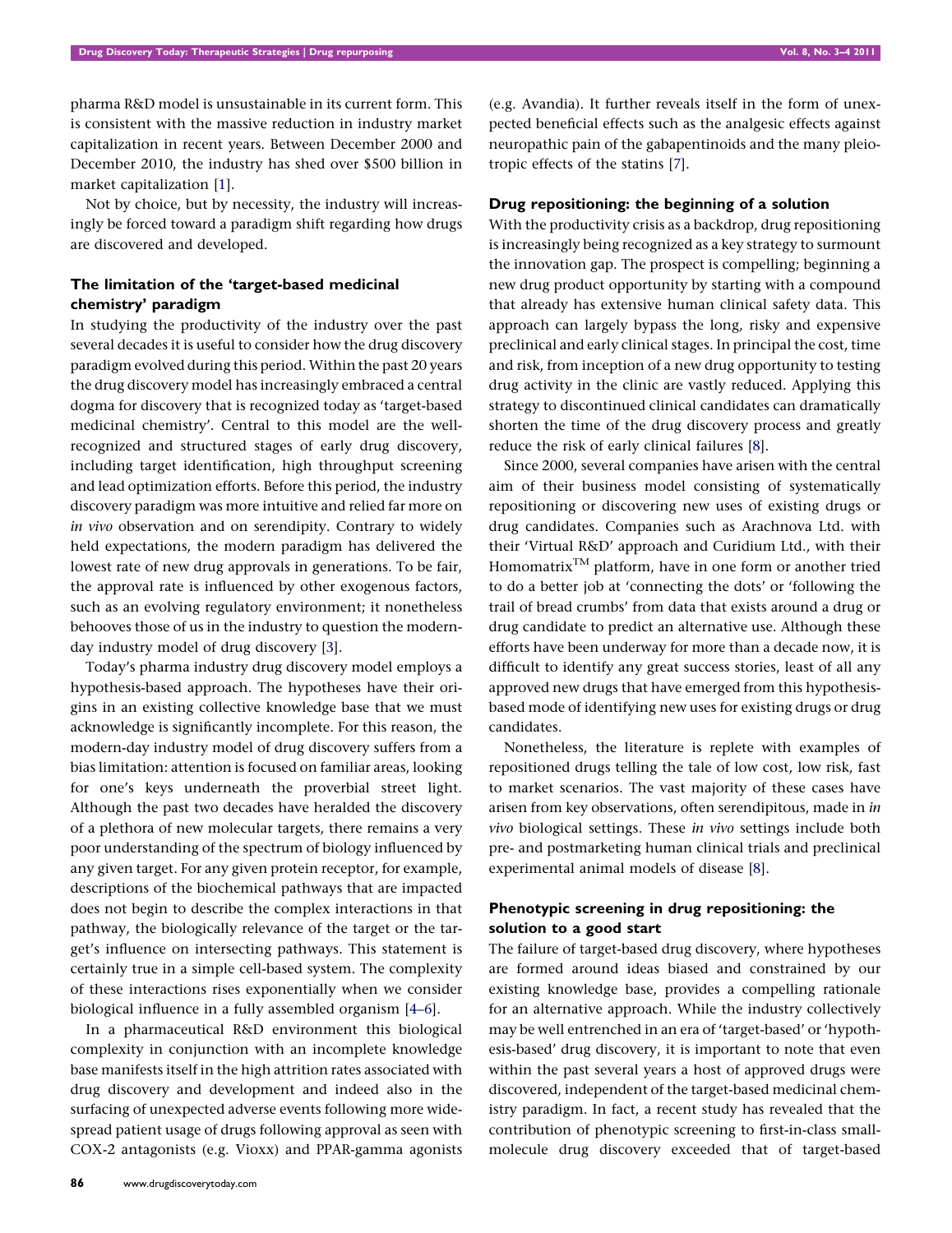pharma R&D model is unsustainable in its current form. This is consistent with the massive reduction in industry market capitalization in recent years. Between December 2000 and December 2010, the industry has shed over \$500 billion in market capitalization [\[1\]](#page-3-0).

Not by choice, but by necessity, the industry will increasingly be forced toward a paradigm shift regarding how drugs are discovered and developed.

## The limitation of the 'target-based medicinal chemistry' paradigm

In studying the productivity of the industry over the past several decades it is useful to consider how the drug discovery paradigm evolved during this period. Within the past 20 years the drug discovery model has increasingly embraced a central dogma for discovery that is recognized today as 'target-based medicinal chemistry'. Central to this model are the wellrecognized and structured stages of early drug discovery, including target identification, high throughput screening and lead optimization efforts. Before this period, the industry discovery paradigm was more intuitive and relied far more on in vivo observation and on serendipity. Contrary to widely held expectations, the modern paradigm has delivered the lowest rate of new drug approvals in generations. To be fair, the approval rate is influenced by other exogenous factors, such as an evolving regulatory environment; it nonetheless behooves those of us in the industry to question the modernday industry model of drug discovery [[3\]](#page-3-0).

Today's pharma industry drug discovery model employs a hypothesis-based approach. The hypotheses have their origins in an existing collective knowledge base that we must acknowledge is significantly incomplete. For this reason, the modern-day industry model of drug discovery suffers from a bias limitation: attention is focused on familiar areas, looking for one's keys underneath the proverbial street light. Although the past two decades have heralded the discovery of a plethora of new molecular targets, there remains a very poor understanding of the spectrum of biology influenced by any given target. For any given protein receptor, for example, descriptions of the biochemical pathways that are impacted does not begin to describe the complex interactions in that pathway, the biologically relevance of the target or the target's influence on intersecting pathways. This statement is certainly true in a simple cell-based system. The complexity of these interactions rises exponentially when we consider biological influence in a fully assembled organism [\[4–6](#page-3-0)].

In a pharmaceutical R&D environment this biological complexity in conjunction with an incomplete knowledge base manifests itself in the high attrition rates associated with drug discovery and development and indeed also in the surfacing of unexpected adverse events following more widespread patient usage of drugs following approval as seen with COX-2 antagonists (e.g. Vioxx) and PPAR-gamma agonists (e.g. Avandia). It further reveals itself in the form of unexpected beneficial effects such as the analgesic effects against neuropathic pain of the gabapentinoids and the many pleiotropic effects of the statins [\[7](#page-3-0)].

#### Drug repositioning: the beginning of a solution

With the productivity crisis as a backdrop, drug repositioning is increasingly being recognized as a key strategy to surmount the innovation gap. The prospect is compelling; beginning a new drug product opportunity by starting with a compound that already has extensive human clinical safety data. This approach can largely bypass the long, risky and expensive preclinical and early clinical stages. In principal the cost, time and risk, from inception of a new drug opportunity to testing drug activity in the clinic are vastly reduced. Applying this strategy to discontinued clinical candidates can dramatically shorten the time of the drug discovery process and greatly reduce the risk of early clinical failures [\[8](#page-3-0)].

Since 2000, several companies have arisen with the central aim of their business model consisting of systematically repositioning or discovering new uses of existing drugs or drug candidates. Companies such as Arachnova Ltd. with their 'Virtual R&D' approach and Curidium Ltd., with their Homomatrix<sup>TM</sup> platform, have in one form or another tried to do a better job at 'connecting the dots' or 'following the trail of bread crumbs' from data that exists around a drug or drug candidate to predict an alternative use. Although these efforts have been underway for more than a decade now, it is difficult to identify any great success stories, least of all any approved new drugs that have emerged from this hypothesisbased mode of identifying new uses for existing drugs or drug candidates.

Nonetheless, the literature is replete with examples of repositioned drugs telling the tale of low cost, low risk, fast to market scenarios. The vast majority of these cases have arisen from key observations, often serendipitous, made in in vivo biological settings. These in vivo settings include both pre- and postmarketing human clinical trials and preclinical experimental animal models of disease [[8\]](#page-3-0).

# Phenotypic screening in drug repositioning: the solution to a good start

The failure of target-based drug discovery, where hypotheses are formed around ideas biased and constrained by our existing knowledge base, provides a compelling rationale for an alternative approach. While the industry collectively may be well entrenched in an era of 'target-based' or 'hypothesis-based' drug discovery, it is important to note that even within the past several years a host of approved drugs were discovered, independent of the target-based medicinal chemistry paradigm. In fact, a recent study has revealed that the contribution of phenotypic screening to first-in-class smallmolecule drug discovery exceeded that of target-based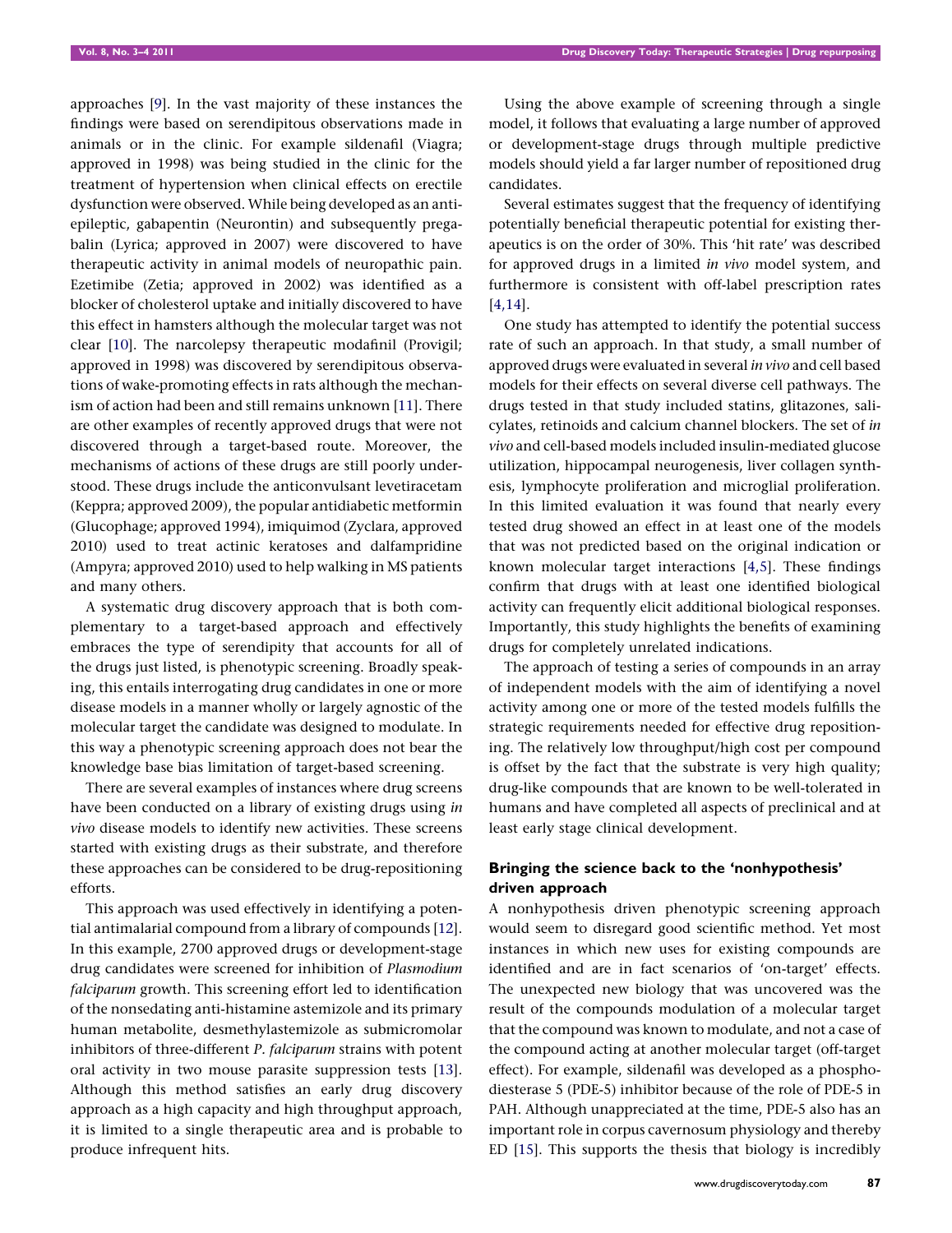approaches [\[9](#page-3-0)]. In the vast majority of these instances the findings were based on serendipitous observations made in animals or in the clinic. For example sildenafil (Viagra; approved in 1998) was being studied in the clinic for the treatment of hypertension when clinical effects on erectile dysfunction were observed. While being developed as an antiepileptic, gabapentin (Neurontin) and subsequently pregabalin (Lyrica; approved in 2007) were discovered to have therapeutic activity in animal models of neuropathic pain. Ezetimibe (Zetia; approved in 2002) was identified as a blocker of cholesterol uptake and initially discovered to have this effect in hamsters although the molecular target was not clear [\[10\]](#page-3-0). The narcolepsy therapeutic modafinil (Provigil; approved in 1998) was discovered by serendipitous observations of wake-promoting effects in rats although the mechanism of action had been and still remains unknown [\[11](#page-3-0)]. There are other examples of recently approved drugs that were not discovered through a target-based route. Moreover, the mechanisms of actions of these drugs are still poorly understood. These drugs include the anticonvulsant levetiracetam (Keppra; approved 2009), the popular antidiabetic metformin (Glucophage; approved 1994), imiquimod (Zyclara, approved 2010) used to treat actinic keratoses and dalfampridine (Ampyra; approved 2010) used to help walking in MS patients and many others.

A systematic drug discovery approach that is both complementary to a target-based approach and effectively embraces the type of serendipity that accounts for all of the drugs just listed, is phenotypic screening. Broadly speaking, this entails interrogating drug candidates in one or more disease models in a manner wholly or largely agnostic of the molecular target the candidate was designed to modulate. In this way a phenotypic screening approach does not bear the knowledge base bias limitation of target-based screening.

There are several examples of instances where drug screens have been conducted on a library of existing drugs using in vivo disease models to identify new activities. These screens started with existing drugs as their substrate, and therefore these approaches can be considered to be drug-repositioning efforts.

This approach was used effectively in identifying a potential antimalarial compound from a library of compounds [[12](#page-3-0)]. In this example, 2700 approved drugs or development-stage drug candidates were screened for inhibition of Plasmodium falciparum growth. This screening effort led to identification of the nonsedating anti-histamine astemizole and its primary human metabolite, desmethylastemizole as submicromolar inhibitors of three-different P. falciparum strains with potent oral activity in two mouse parasite suppression tests [[13](#page-3-0)]. Although this method satisfies an early drug discovery approach as a high capacity and high throughput approach, it is limited to a single therapeutic area and is probable to produce infrequent hits.

Using the above example of screening through a single model, it follows that evaluating a large number of approved or development-stage drugs through multiple predictive models should yield a far larger number of repositioned drug candidates.

Several estimates suggest that the frequency of identifying potentially beneficial therapeutic potential for existing therapeutics is on the order of 30%. This 'hit rate' was described for approved drugs in a limited in vivo model system, and furthermore is consistent with off-label prescription rates [[4,14\]](#page-3-0).

One study has attempted to identify the potential success rate of such an approach. In that study, a small number of approved drugs were evaluated in several in vivo and cell based models for their effects on several diverse cell pathways. The drugs tested in that study included statins, glitazones, salicylates, retinoids and calcium channel blockers. The set of in vivo and cell-based models included insulin-mediated glucose utilization, hippocampal neurogenesis, liver collagen synthesis, lymphocyte proliferation and microglial proliferation. In this limited evaluation it was found that nearly every tested drug showed an effect in at least one of the models that was not predicted based on the original indication or known molecular target interactions [\[4,5](#page-3-0)]. These findings confirm that drugs with at least one identified biological activity can frequently elicit additional biological responses. Importantly, this study highlights the benefits of examining drugs for completely unrelated indications.

The approach of testing a series of compounds in an array of independent models with the aim of identifying a novel activity among one or more of the tested models fulfills the strategic requirements needed for effective drug repositioning. The relatively low throughput/high cost per compound is offset by the fact that the substrate is very high quality; drug-like compounds that are known to be well-tolerated in humans and have completed all aspects of preclinical and at least early stage clinical development.

## Bringing the science back to the 'nonhypothesis' driven approach

A nonhypothesis driven phenotypic screening approach would seem to disregard good scientific method. Yet most instances in which new uses for existing compounds are identified and are in fact scenarios of 'on-target' effects. The unexpected new biology that was uncovered was the result of the compounds modulation of a molecular target that the compound was known to modulate, and not a case of the compound acting at another molecular target (off-target effect). For example, sildenafil was developed as a phosphodiesterase 5 (PDE-5) inhibitor because of the role of PDE-5 in PAH. Although unappreciated at the time, PDE-5 also has an important role in corpus cavernosum physiology and thereby ED [\[15\]](#page-3-0). This supports the thesis that biology is incredibly